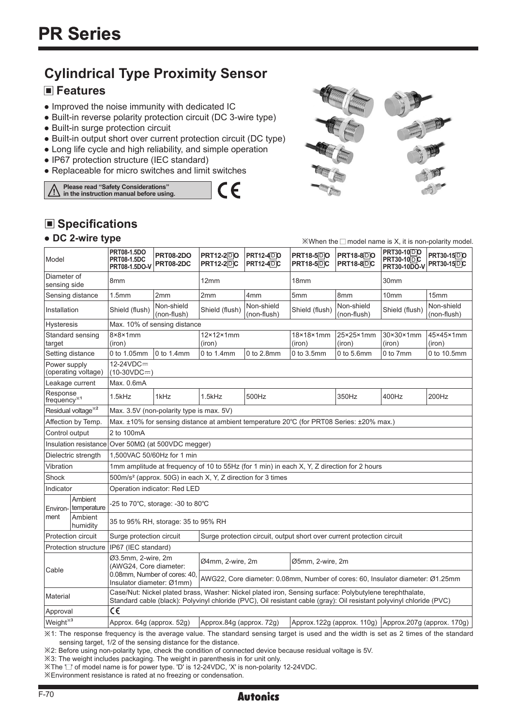# **Cylindrical Type Proximity Sensor**

### **Features**

- Improved the noise immunity with dedicated IC
- Built-in reverse polarity protection circuit (DC 3-wire type)
- Built-in surge protection circuit
- Built-in output short over current protection circuit (DC type)

 $\epsilon$ 

- Long life cycle and high reliability, and simple operation
- IP67 protection structure (IEC standard)
- Replaceable for micro switches and limit switches

**Please read "Safety Considerations" in the instruction manual before using.**



 $\mathbb{X}$ When the  $\Box$  model name is X, it is non-polarity model

# ■ Specifications

#### **● DC 2-wire type**

| Model                               |                                | PRT08-1.5DO<br><b>PRT08-2DO</b><br><b>PRT12-2DO</b><br><b>PRT12-4DO</b><br><b>PRT08-1.5DC</b><br>PRT08-2DC<br><b>PRT12-2DC</b><br><b>PRT12-4DC</b><br>PRT08-1.5DO-V                                                             |                                          | <b>PRT18-500</b><br><b>PRT18-5DC</b> | <b>PRT18-8DO</b><br><b>PRT18-8DC</b> | <b>PRT30-10DO</b><br><b>PRT30-10DC</b><br><b>PRT30-10DO-V</b> | PRT30-15DO<br><b>PRT30-15DC</b> |                                                       |                                                                                                                                               |  |  |  |
|-------------------------------------|--------------------------------|---------------------------------------------------------------------------------------------------------------------------------------------------------------------------------------------------------------------------------|------------------------------------------|--------------------------------------|--------------------------------------|---------------------------------------------------------------|---------------------------------|-------------------------------------------------------|-----------------------------------------------------------------------------------------------------------------------------------------------|--|--|--|
| Diameter of<br>sensing side         |                                | 8 <sub>mm</sub>                                                                                                                                                                                                                 |                                          | 12mm                                 |                                      | 18 <sub>mm</sub>                                              |                                 | 30 <sub>mm</sub>                                      |                                                                                                                                               |  |  |  |
|                                     | Sensing distance               | 1.5mm                                                                                                                                                                                                                           | 2mm                                      | 2mm                                  | 4 <sub>mm</sub>                      | 5mm                                                           | 8mm                             | 10mm                                                  | 15mm                                                                                                                                          |  |  |  |
|                                     | Installation<br>Shield (flush) |                                                                                                                                                                                                                                 | Non-shield<br>(non-flush)                | Shield (flush)                       | Non-shield<br>(non-flush)            | Shield (flush)                                                | Non-shield<br>(non-flush)       | Shield (flush)                                        | Non-shield<br>(non-flush)                                                                                                                     |  |  |  |
| Hysteresis                          |                                | Max. 10% of sensing distance                                                                                                                                                                                                    |                                          |                                      |                                      |                                                               |                                 |                                                       |                                                                                                                                               |  |  |  |
| Standard sensing<br>target          |                                | $8\times8\times1$ mm<br>(iron)                                                                                                                                                                                                  |                                          | $12\times12\times1$ mm<br>(iron)     |                                      | 18×18×1mm<br>(iron)                                           | 25×25×1mm<br>(iron)             | 30×30×1mm<br>(iron)                                   | 45×45×1mm<br>(iron)                                                                                                                           |  |  |  |
| Setting distance                    |                                | 0 to 1.05mm                                                                                                                                                                                                                     | 0 to 1.4mm                               | $0$ to 1.4mm                         | 0 to 2.8mm                           | 0 to 3.5mm                                                    | 0 to 5.6mm                      | 0 to 7mm                                              | 0 to 10.5mm                                                                                                                                   |  |  |  |
| Power supply                        | (operating voltage)            | $12-24VDC =$<br>$(10-30VDC=)$                                                                                                                                                                                                   |                                          |                                      |                                      |                                                               |                                 |                                                       |                                                                                                                                               |  |  |  |
|                                     | Leakage current                | Max. 0.6mA                                                                                                                                                                                                                      |                                          |                                      |                                      |                                                               |                                 |                                                       |                                                                                                                                               |  |  |  |
| Response<br>frequency <sup>*1</sup> |                                | $1.5$ k $Hz$                                                                                                                                                                                                                    | 1kHz                                     | 1.5kHz                               | 500Hz                                |                                                               | 350Hz                           | 400Hz                                                 | 200Hz                                                                                                                                         |  |  |  |
|                                     | Residual voltage <sup>*2</sup> |                                                                                                                                                                                                                                 | Max. 3.5V (non-polarity type is max. 5V) |                                      |                                      |                                                               |                                 |                                                       |                                                                                                                                               |  |  |  |
|                                     | Affection by Temp.             | Max. ±10% for sensing distance at ambient temperature 20°C (for PRT08 Series: ±20% max.)                                                                                                                                        |                                          |                                      |                                      |                                                               |                                 |                                                       |                                                                                                                                               |  |  |  |
| Control output                      |                                | 2 to 100mA                                                                                                                                                                                                                      |                                          |                                      |                                      |                                                               |                                 |                                                       |                                                                                                                                               |  |  |  |
| Insulation resistance               |                                | Over 50MΩ (at 500VDC megger)                                                                                                                                                                                                    |                                          |                                      |                                      |                                                               |                                 |                                                       |                                                                                                                                               |  |  |  |
|                                     | Dielectric strength            | 1,500VAC 50/60Hz for 1 min                                                                                                                                                                                                      |                                          |                                      |                                      |                                                               |                                 |                                                       |                                                                                                                                               |  |  |  |
| Vibration                           |                                | 1mm amplitude at frequency of 10 to 55Hz (for 1 min) in each X, Y, Z direction for 2 hours                                                                                                                                      |                                          |                                      |                                      |                                                               |                                 |                                                       |                                                                                                                                               |  |  |  |
| Shock                               |                                | 500m/s <sup>2</sup> (approx. 50G) in each X, Y, Z direction for 3 times                                                                                                                                                         |                                          |                                      |                                      |                                                               |                                 |                                                       |                                                                                                                                               |  |  |  |
| Indicator                           |                                | Operation indicator: Red LED                                                                                                                                                                                                    |                                          |                                      |                                      |                                                               |                                 |                                                       |                                                                                                                                               |  |  |  |
| Environ-                            | Ambient<br>temperature         |                                                                                                                                                                                                                                 | -25 to 70°C, storage: -30 to 80°C        |                                      |                                      |                                                               |                                 |                                                       |                                                                                                                                               |  |  |  |
| ment                                | Ambient<br>humidity            |                                                                                                                                                                                                                                 | 35 to 95% RH, storage: 35 to 95% RH      |                                      |                                      |                                                               |                                 |                                                       |                                                                                                                                               |  |  |  |
|                                     | Protection circuit             | Surge protection circuit<br>Surge protection circuit, output short over current protection circuit                                                                                                                              |                                          |                                      |                                      |                                                               |                                 |                                                       |                                                                                                                                               |  |  |  |
|                                     | <b>Protection structure</b>    | IP67 (IEC standard)                                                                                                                                                                                                             |                                          |                                      |                                      |                                                               |                                 |                                                       |                                                                                                                                               |  |  |  |
| Cable                               |                                | Ø3.5mm, 2-wire, 2m<br>(AWG24. Core diameter:                                                                                                                                                                                    |                                          | Ø4mm, 2-wire, 2m                     |                                      | Ø5mm, 2-wire, 2m                                              |                                 |                                                       |                                                                                                                                               |  |  |  |
|                                     |                                | 0.08mm, Number of cores: 40,<br>AWG22, Core diameter: 0.08mm, Number of cores: 60, Insulator diameter: Ø1.25mm<br>Insulator diameter: Ø1mm)                                                                                     |                                          |                                      |                                      |                                                               |                                 |                                                       |                                                                                                                                               |  |  |  |
| Material                            |                                | Case/Nut: Nickel plated brass, Washer: Nickel plated iron, Sensing surface: Polybutylene terephthalate,<br>Standard cable (black): Polyvinyl chloride (PVC), Oil resistant cable (gray): Oil resistant polyvinyl chloride (PVC) |                                          |                                      |                                      |                                                               |                                 |                                                       |                                                                                                                                               |  |  |  |
| Approval                            |                                | C€                                                                                                                                                                                                                              |                                          |                                      |                                      |                                                               |                                 |                                                       |                                                                                                                                               |  |  |  |
| Weight <sup>*3</sup>                |                                | Approx. 64g (approx. 52g)                                                                                                                                                                                                       |                                          | Approx.84g (approx. 72g)             |                                      |                                                               |                                 | Approx.122g (approx. 110g) Approx.207g (approx. 170g) |                                                                                                                                               |  |  |  |
|                                     |                                |                                                                                                                                                                                                                                 |                                          |                                      |                                      |                                                               |                                 |                                                       | $\angle 1$ : The response frequency is the average value. The standard sensing target is used and the width is set as 2 times of the standard |  |  |  |

sensing target, 1/2 of the sensing distance for the distance.

※2: Before using non-polarity type, check the condition of connected device because residual voltage is 5V.

※3: The weight includes packaging. The weight in parenthesis in for unit only.

※The ' ' of model name is for power type. 'D' is 12-24VDC, 'X' is non-polarity 12-24VDC.

※Environment resistance is rated at no freezing or condensation.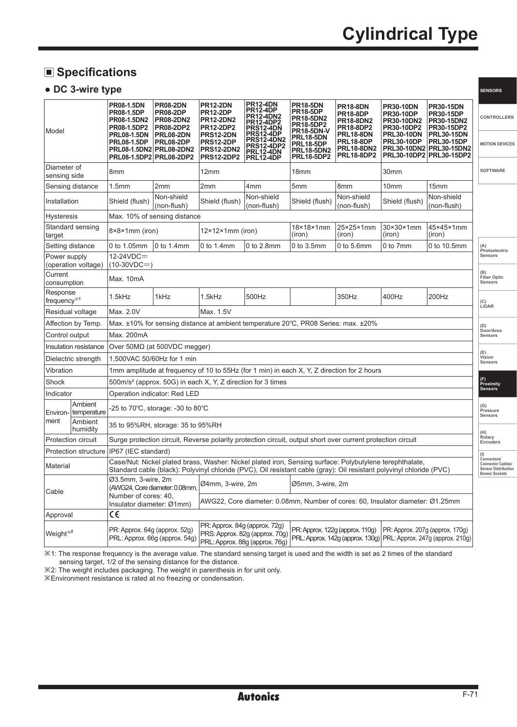**SENSORS**

### **Specifications**

#### **● DC 3-wire type**

| Model                               |                             | PR08-1.5DN<br><b>PR08-1.5DP</b><br>PR08-1.5DN2<br>PR08-1.5DP2                                                                                                                                                                   | <b>PR08-2DN</b><br><b>PR08-2DP</b><br><b>PR08-2DN2</b><br><b>PR08-2DP2</b> | <b>PR12-2DN</b><br><b>PR12-2DP</b><br><b>PR12-2DN2</b><br>PR12-2DP2                                                                                                                                                                          | <b>PR12-4DN</b><br><b>PR12-4DP</b><br><b>PR12-4DN2<br/>PR12-4DP2<br/>PRS12-4DN</b>   | <b>PR18-5DN</b><br><b>PR18-5DP</b><br><b>PR18-5DN2</b><br>PR18-5DP2                                 | <b>PR18-8DN</b><br><b>PR18-8DP</b><br><b>PR18-8DN2</b><br>PR18-8DP2     | <b>PR30-10DN</b><br><b>PR30-10DP</b><br>PR30-10DN2<br>PR30-10DP2 | <b>PR30-15DN</b><br><b>PR30-15DP</b><br>PR30-15DN2<br>PR30-15DP2                             | CONTROLLERS                       |  |  |
|-------------------------------------|-----------------------------|---------------------------------------------------------------------------------------------------------------------------------------------------------------------------------------------------------------------------------|----------------------------------------------------------------------------|----------------------------------------------------------------------------------------------------------------------------------------------------------------------------------------------------------------------------------------------|--------------------------------------------------------------------------------------|-----------------------------------------------------------------------------------------------------|-------------------------------------------------------------------------|------------------------------------------------------------------|----------------------------------------------------------------------------------------------|-----------------------------------|--|--|
|                                     |                             | <b>PRL08-1.5DN</b><br><b>PRL08-1.5DP</b><br><b>PRL08-1.5DN2</b><br><b>PRL08-1.5DP2</b>                                                                                                                                          | <b>PRL08-2DN</b><br>PRL08-2DP<br><b>PRL08-2DN2</b><br><b>PRL08-2DP2</b>    | <b>PRS12-2DN</b><br><b>PRS12-2DP</b><br><b>PRS12-2DN2</b><br><b>PRS12-2DP2</b>                                                                                                                                                               | <b>PRS12-4DP</b><br>PRS12-4DN2<br><b>PRS12-4DP2</b><br>PRL12-4DN<br><b>PRL12-4DP</b> | <b>PR18-5DN-V</b><br><b>PRL18-5DN</b><br><b>PRL18-5DP</b><br><b>PRL18-5DN2</b><br><b>PRL18-5DP2</b> | <b>PRL18-8DN</b><br>PRL18-8DP<br><b>PRL18-8DN2</b><br><b>PRL18-8DP2</b> | <b>PRL30-10DN</b><br><b>PRL30-10DP</b>                           | <b>PRL30-15DN</b><br><b>PRL30-15DP</b><br>PRL30-10DN2 PRL30-15DN2<br>PRL30-10DP2 PRL30-15DP2 | <b>MOTION DEVICES</b>             |  |  |
| Diameter of<br>sensing side         |                             | 8mm                                                                                                                                                                                                                             |                                                                            | 12mm                                                                                                                                                                                                                                         |                                                                                      | 18 <sub>mm</sub>                                                                                    |                                                                         | 30mm                                                             |                                                                                              | <b>SOFTWARE</b>                   |  |  |
|                                     | Sensing distance            | 1.5 <sub>mm</sub>                                                                                                                                                                                                               | 2mm                                                                        | 2mm                                                                                                                                                                                                                                          | 4 <sub>mm</sub>                                                                      | 5mm                                                                                                 | 8mm                                                                     | 10 <sub>mm</sub>                                                 | 15mm                                                                                         |                                   |  |  |
| Installation                        |                             | Shield (flush)                                                                                                                                                                                                                  | Non-shield<br>(non-flush)                                                  | Shield (flush)                                                                                                                                                                                                                               | Non-shield<br>(non-flush)                                                            | Shield (flush)                                                                                      | Non-shield<br>(non-flush)                                               | Shield (flush)                                                   | Non-shield<br>(non-flush)                                                                    |                                   |  |  |
| <b>Hysteresis</b>                   |                             |                                                                                                                                                                                                                                 | Max. 10% of sensing distance                                               |                                                                                                                                                                                                                                              |                                                                                      |                                                                                                     |                                                                         |                                                                  |                                                                                              |                                   |  |  |
| target                              | Standard sensing            | 8×8×1mm (iron)                                                                                                                                                                                                                  |                                                                            | $12\times12\times1$ mm (iron)                                                                                                                                                                                                                |                                                                                      | 18×18×1mm<br>(iron)                                                                                 | 25×25×1mm<br>(iron)                                                     | 30×30×1mm<br>(iron)                                              | 45×45×1mm<br>(iron)                                                                          |                                   |  |  |
|                                     | Setting distance            | 0 to 1.05mm                                                                                                                                                                                                                     | 0 to 1.4mm                                                                 | $0$ to 1.4mm                                                                                                                                                                                                                                 | 0 to 2.8mm                                                                           | $0$ to $3.5$ mm                                                                                     | $0$ to $5.6$ mm                                                         | 0 to 7mm                                                         | 0 to 10.5mm                                                                                  | Photoelectric                     |  |  |
| Power supply                        | (operation voltage)         | 12-24VDC=<br>$(10-30VDC=)$                                                                                                                                                                                                      |                                                                            |                                                                                                                                                                                                                                              |                                                                                      |                                                                                                     |                                                                         |                                                                  |                                                                                              | Sensors                           |  |  |
| Current<br>consumption              |                             | Max. 10mA                                                                                                                                                                                                                       |                                                                            |                                                                                                                                                                                                                                              |                                                                                      |                                                                                                     | Fiber Optic<br>Sensors                                                  |                                                                  |                                                                                              |                                   |  |  |
| Response<br>frequency <sup>*1</sup> |                             | 1.5kHz                                                                                                                                                                                                                          | 1kHz                                                                       | 1.5kHz                                                                                                                                                                                                                                       | 500Hz                                                                                |                                                                                                     | 350Hz                                                                   | 400Hz                                                            | 200Hz                                                                                        | (C)<br>LiDAR                      |  |  |
| Residual voltage                    |                             | Max. 2.0V<br>Max. 1.5V                                                                                                                                                                                                          |                                                                            |                                                                                                                                                                                                                                              |                                                                                      |                                                                                                     |                                                                         |                                                                  |                                                                                              |                                   |  |  |
| Affection by Temp.                  |                             | Max. ±10% for sensing distance at ambient temperature 20°C, PR08 Series: max. ±20%                                                                                                                                              |                                                                            |                                                                                                                                                                                                                                              |                                                                                      |                                                                                                     |                                                                         |                                                                  |                                                                                              |                                   |  |  |
| Control output                      |                             | Max. 200mA                                                                                                                                                                                                                      |                                                                            |                                                                                                                                                                                                                                              |                                                                                      |                                                                                                     |                                                                         |                                                                  |                                                                                              |                                   |  |  |
|                                     | Insulation resistance       | Over $50M\Omega$ (at $500VDC$ megger)                                                                                                                                                                                           |                                                                            |                                                                                                                                                                                                                                              |                                                                                      |                                                                                                     |                                                                         |                                                                  |                                                                                              |                                   |  |  |
|                                     | Dielectric strength         | 1,500VAC 50/60Hz for 1 min                                                                                                                                                                                                      |                                                                            |                                                                                                                                                                                                                                              |                                                                                      |                                                                                                     |                                                                         |                                                                  |                                                                                              |                                   |  |  |
| Vibration                           |                             | 1mm amplitude at frequency of 10 to 55Hz (for 1 min) in each X, Y, Z direction for 2 hours                                                                                                                                      |                                                                            |                                                                                                                                                                                                                                              |                                                                                      |                                                                                                     |                                                                         |                                                                  |                                                                                              |                                   |  |  |
| Shock                               |                             | 500m/s <sup>2</sup> (approx. 50G) in each X, Y, Z direction for 3 times                                                                                                                                                         |                                                                            |                                                                                                                                                                                                                                              |                                                                                      |                                                                                                     |                                                                         |                                                                  |                                                                                              |                                   |  |  |
| Indicator                           |                             | Operation indicator: Red LED                                                                                                                                                                                                    |                                                                            |                                                                                                                                                                                                                                              |                                                                                      |                                                                                                     |                                                                         |                                                                  |                                                                                              |                                   |  |  |
| Environ-                            | Ambient<br>temperature      |                                                                                                                                                                                                                                 | -25 to 70°C, storage: -30 to 80°C                                          |                                                                                                                                                                                                                                              |                                                                                      |                                                                                                     |                                                                         |                                                                  |                                                                                              | (G)<br>Pressure<br><b>Sensors</b> |  |  |
| ment                                | Ambient<br>humidity         | 35 to 95%RH, storage: 35 to 95%RH                                                                                                                                                                                               |                                                                            |                                                                                                                                                                                                                                              |                                                                                      |                                                                                                     |                                                                         |                                                                  | Rotary                                                                                       |                                   |  |  |
|                                     | Protection circuit          | Surge protection circuit, Reverse polarity protection circuit, output short over current protection circuit                                                                                                                     |                                                                            |                                                                                                                                                                                                                                              |                                                                                      |                                                                                                     |                                                                         |                                                                  |                                                                                              |                                   |  |  |
|                                     | <b>Protection structure</b> | IP67 (IEC standard)                                                                                                                                                                                                             |                                                                            |                                                                                                                                                                                                                                              |                                                                                      |                                                                                                     |                                                                         |                                                                  |                                                                                              |                                   |  |  |
| Material                            |                             | Case/Nut: Nickel plated brass, Washer: Nickel plated iron, Sensing surface: Polybutylene terephthalate,<br>Standard cable (black): Polyvinyl chloride (PVC), Oil resistant cable (gray): Oil resistant polyvinyl chloride (PVC) |                                                                            |                                                                                                                                                                                                                                              |                                                                                      |                                                                                                     |                                                                         |                                                                  | Connectors<br><b>Connector Cables/</b><br><b>Sensor Distribution</b><br><b>Boxes/Sockets</b> |                                   |  |  |
| Cable                               |                             | Ø3.5mm, 3-wire, 2m<br>Ø4mm, 3-wire, 2m<br>Ø5mm, 3-wire, 2m<br>(AWG24, Core diameter: 0.08mm.                                                                                                                                    |                                                                            |                                                                                                                                                                                                                                              |                                                                                      |                                                                                                     |                                                                         |                                                                  |                                                                                              |                                   |  |  |
|                                     |                             | Number of cores: 40,<br>AWG22, Core diameter: 0.08mm, Number of cores: 60, Insulator diameter: Ø1.25mm<br>Insulator diameter: Ø1mm)                                                                                             |                                                                            |                                                                                                                                                                                                                                              |                                                                                      |                                                                                                     |                                                                         |                                                                  |                                                                                              |                                   |  |  |
| Approval                            |                             | $\epsilon$                                                                                                                                                                                                                      |                                                                            |                                                                                                                                                                                                                                              |                                                                                      |                                                                                                     |                                                                         |                                                                  |                                                                                              |                                   |  |  |
| Weight <sup>**2</sup>               |                             | PR: Approx. 64g (approx. 52g)<br>PRL: Approx. 66g (approx. 54g)                                                                                                                                                                 |                                                                            | PR: Approx. 84g (approx. 72g)<br>PR: Approx. 207g (approx. 170g)<br>PR: Approx. 122g (approx. 110g)<br>PRS: Approx. 82g (approx. 70g)<br>PRL: Approx. 142g (approx. 130g) PRL: Approx. 247g (approx. 210g)<br>PRL: Approx. 88g (approx. 76g) |                                                                                      |                                                                                                     |                                                                         |                                                                  |                                                                                              |                                   |  |  |

※1: The response frequency is the average value. The standard sensing target is used and the width is set as 2 times of the standard sensing target, 1/2 of the sensing distance for the distance.

※2: The weight includes packaging. The weight in parenthesis in for unit only.

※Environment resistance is rated at no freezing or condensation.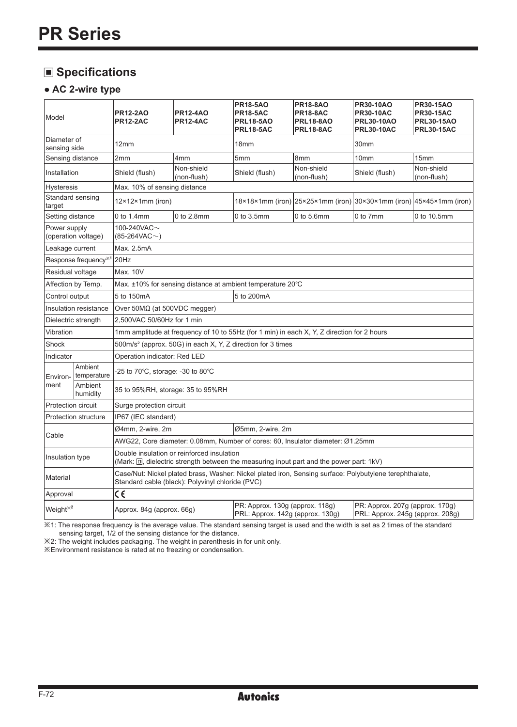# **Specifications**

#### **● AC 2-wire type**

| Model                       |                                  | <b>PR12-2AO</b><br><b>PR12-2AC</b>                                                                                                                          | <b>PR12-4AO</b><br><b>PR12-4AC</b> | <b>PR18-5AO</b><br><b>PR18-5AC</b><br><b>PRL18-5AO</b><br>PRL18-5AC | <b>PR18-8AO</b><br><b>PR18-8AC</b><br><b>PRL18-8AO</b><br><b>PRL18-8AC</b> | <b>PR30-10AO</b><br><b>PR30-10AC</b><br><b>PRL30-10AO</b><br><b>PRL30-10AC</b> | <b>PR30-15AO</b><br><b>PR30-15AC</b><br><b>PRL30-15AO</b><br><b>PRL30-15AC</b> |  |  |  |  |
|-----------------------------|----------------------------------|-------------------------------------------------------------------------------------------------------------------------------------------------------------|------------------------------------|---------------------------------------------------------------------|----------------------------------------------------------------------------|--------------------------------------------------------------------------------|--------------------------------------------------------------------------------|--|--|--|--|
| Diameter of<br>sensing side |                                  | 12mm                                                                                                                                                        |                                    | 18 <sub>mm</sub>                                                    |                                                                            | 30mm                                                                           |                                                                                |  |  |  |  |
| Sensing distance            |                                  | 2mm                                                                                                                                                         | 4 <sub>mm</sub>                    | 5mm<br>8 <sub>mm</sub>                                              |                                                                            | 10mm                                                                           | 15mm                                                                           |  |  |  |  |
| Installation                |                                  | Shield (flush)                                                                                                                                              | Non-shield<br>(non-flush)          | Shield (flush)                                                      | Non-shield<br>Shield (flush)<br>(non-flush)                                |                                                                                | Non-shield<br>(non-flush)                                                      |  |  |  |  |
| <b>Hysteresis</b>           |                                  | Max. 10% of sensing distance                                                                                                                                |                                    |                                                                     |                                                                            |                                                                                |                                                                                |  |  |  |  |
| target                      | Standard sensing                 | $12\times12\times1$ mm (iron)                                                                                                                               |                                    |                                                                     | $18\times18\times1$ mm (iron) 25×25×1mm (iron) 30×30×1mm (iron)            |                                                                                | 45×45×1mm (iron)                                                               |  |  |  |  |
| Setting distance            |                                  | 0 to 1.4mm                                                                                                                                                  | 0 to 2.8mm                         | 0 to 3.5mm                                                          | $0$ to $5.6$ mm                                                            | 0 to 7mm                                                                       | 0 to 10.5mm                                                                    |  |  |  |  |
| Power supply                | (operation voltage)              | 100-240VAC $\sim$<br>$(85-264VAC\sim)$                                                                                                                      |                                    |                                                                     |                                                                            |                                                                                |                                                                                |  |  |  |  |
| Leakage current             |                                  | Max. 2.5mA                                                                                                                                                  |                                    |                                                                     |                                                                            |                                                                                |                                                                                |  |  |  |  |
|                             | Response frequency <sup>*1</sup> | 20Hz                                                                                                                                                        |                                    |                                                                     |                                                                            |                                                                                |                                                                                |  |  |  |  |
| Residual voltage            |                                  | Max. 10V                                                                                                                                                    |                                    |                                                                     |                                                                            |                                                                                |                                                                                |  |  |  |  |
| Affection by Temp.          |                                  | Max. $\pm$ 10% for sensing distance at ambient temperature 20 $\degree$ C                                                                                   |                                    |                                                                     |                                                                            |                                                                                |                                                                                |  |  |  |  |
| Control output              |                                  | 5 to 200mA<br>5 to 150mA                                                                                                                                    |                                    |                                                                     |                                                                            |                                                                                |                                                                                |  |  |  |  |
| Insulation resistance       |                                  | Over $50MΩ$ (at $500VDC$ megger)                                                                                                                            |                                    |                                                                     |                                                                            |                                                                                |                                                                                |  |  |  |  |
| Dielectric strength         |                                  | 2.500VAC 50/60Hz for 1 min                                                                                                                                  |                                    |                                                                     |                                                                            |                                                                                |                                                                                |  |  |  |  |
| Vibration                   |                                  | 1mm amplitude at frequency of 10 to 55Hz (for 1 min) in each X, Y, Z direction for 2 hours                                                                  |                                    |                                                                     |                                                                            |                                                                                |                                                                                |  |  |  |  |
| Shock                       |                                  | 500m/s <sup>2</sup> (approx. 50G) in each X, Y, Z direction for 3 times                                                                                     |                                    |                                                                     |                                                                            |                                                                                |                                                                                |  |  |  |  |
| Indicator                   |                                  | Operation indicator: Red LED                                                                                                                                |                                    |                                                                     |                                                                            |                                                                                |                                                                                |  |  |  |  |
| Environ-                    | Ambient<br>temperature           | -25 to 70°C, storage: -30 to 80°C                                                                                                                           |                                    |                                                                     |                                                                            |                                                                                |                                                                                |  |  |  |  |
| ment                        | Ambient<br>humidity              | 35 to 95%RH, storage: 35 to 95%RH                                                                                                                           |                                    |                                                                     |                                                                            |                                                                                |                                                                                |  |  |  |  |
| Protection circuit          |                                  | Surge protection circuit                                                                                                                                    |                                    |                                                                     |                                                                            |                                                                                |                                                                                |  |  |  |  |
|                             | <b>Protection structure</b>      | IP67 (IEC standard)                                                                                                                                         |                                    |                                                                     |                                                                            |                                                                                |                                                                                |  |  |  |  |
|                             |                                  | Ø4mm, 2-wire, 2m<br>Ø5mm, 2-wire, 2m                                                                                                                        |                                    |                                                                     |                                                                            |                                                                                |                                                                                |  |  |  |  |
| Cable                       |                                  | AWG22, Core diameter: 0.08mm, Number of cores: 60, Insulator diameter: Ø1.25mm                                                                              |                                    |                                                                     |                                                                            |                                                                                |                                                                                |  |  |  |  |
| Insulation type             |                                  | Double insulation or reinforced insulation<br>(Mark: 回, dielectric strength between the measuring input part and the power part: 1kV)                       |                                    |                                                                     |                                                                            |                                                                                |                                                                                |  |  |  |  |
| Material                    |                                  | Case/Nut: Nickel plated brass, Washer: Nickel plated iron, Sensing surface: Polybutylene terephthalate,<br>Standard cable (black): Polyvinyl chloride (PVC) |                                    |                                                                     |                                                                            |                                                                                |                                                                                |  |  |  |  |
| Approval                    |                                  | $\epsilon$                                                                                                                                                  |                                    |                                                                     |                                                                            |                                                                                |                                                                                |  |  |  |  |
| Weight <sup>*2</sup>        |                                  | Approx. 84g (approx. 66g)                                                                                                                                   |                                    | PR: Approx. 130g (approx. 118g)<br>PRL: Approx. 142g (approx. 130g) |                                                                            | PR: Approx. 207g (approx. 170g)<br>PRL: Approx. 245g (approx. 208g)            |                                                                                |  |  |  |  |

※1: The response frequency is the average value. The standard sensing target is used and the width is set as 2 times of the standard sensing target, 1/2 of the sensing distance for the distance.

※2: The weight includes packaging. The weight in parenthesis in for unit only.

※Environment resistance is rated at no freezing or condensation.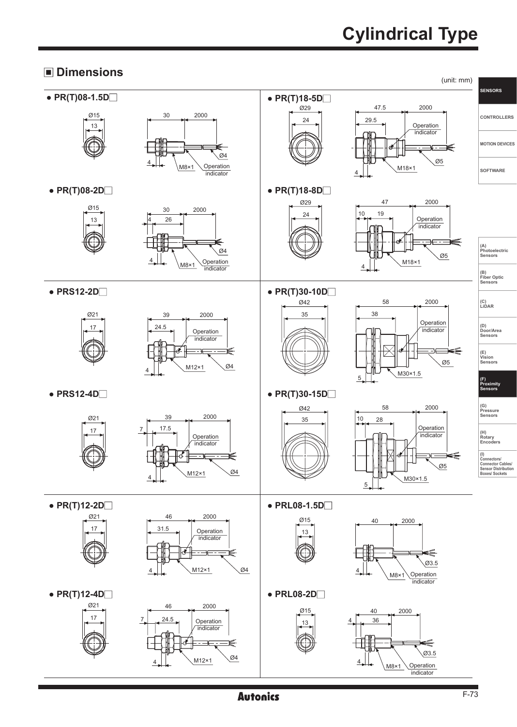# **Cylindrical Type**

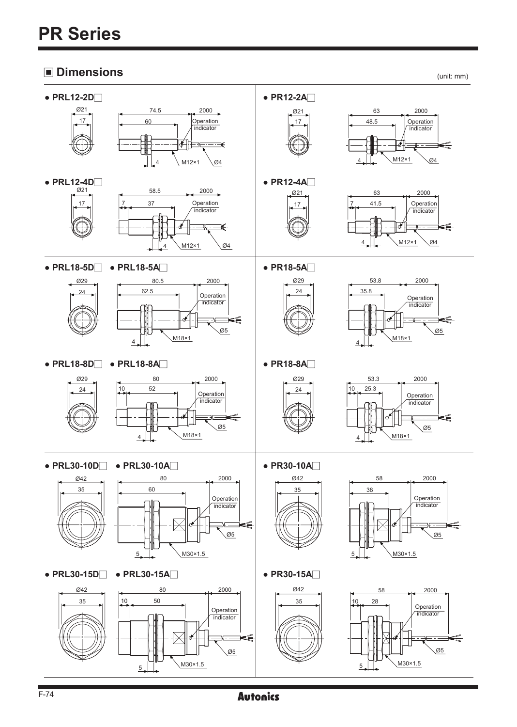# **PR Series**

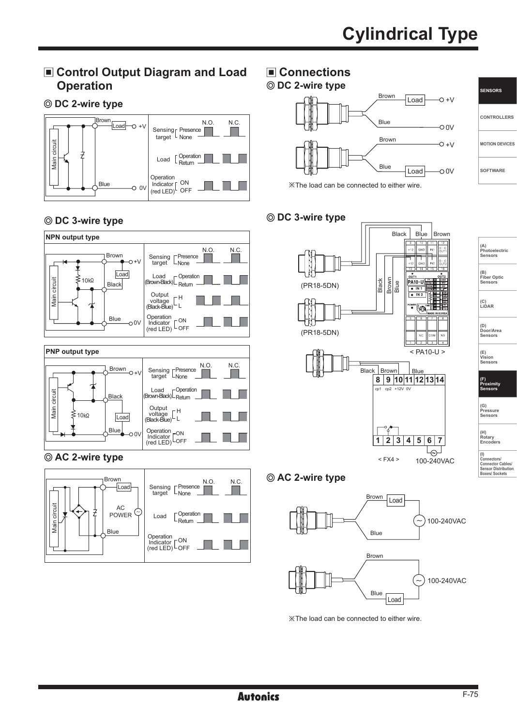### **Control Output Diagram and Load Operation**

**DC 2-wire type**



#### **DC 3-wire type**



#### **AC 2-wire type**



# **Connections**

#### Load Load ※The load can be connected to either wire.  $0.0V$  $-00V$  $+0+$  $O + V$ Blue Blue Brown Brown **DC 2-wire type**

#### **DC 3-wire type**



| (A)<br>Photoelectric<br>Sensors      |
|--------------------------------------|
| (B)<br><b>Fiber Optic</b><br>Sensors |
| (C)<br>LIDAR                         |
| (D)<br>Door/Area<br>Sensors          |

**SENSORS**

**CONTROLLERS**

**MOTION DEVICES**

**SOFTWARE**

**(E) Vision Sensors**

**(F) Proximity Sensors**

**(G) Pressure Sensors** 

**(H) Rotary Encoders** 

**(I) Connectors/**

**Connector Cables/ Sensor Distribution Boxes/ Sockets**

### **AC 2-wire type**



※The load can be connected to either wire.

example of the contract of the contract of the contract of the contract of the contract of the contract of the contract of the contract of the contract of the contract of the contract of the contract of the contract of the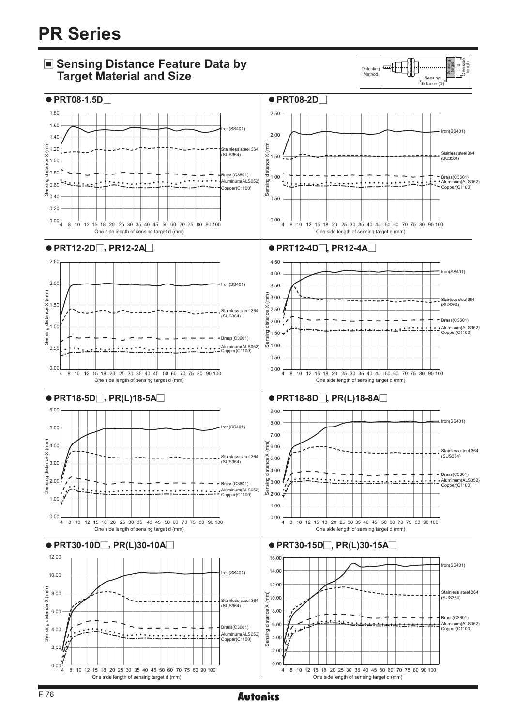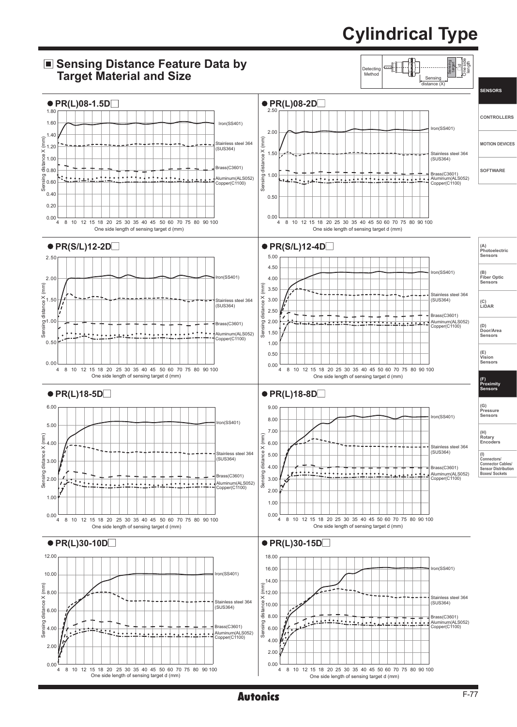# **Cylindrical Type**



example and **Autonics** and the set of the set of the set of the set of the set of the set of the set of the set of the set of the set of the set of the set of the set of the set of the set of the set of the set of the set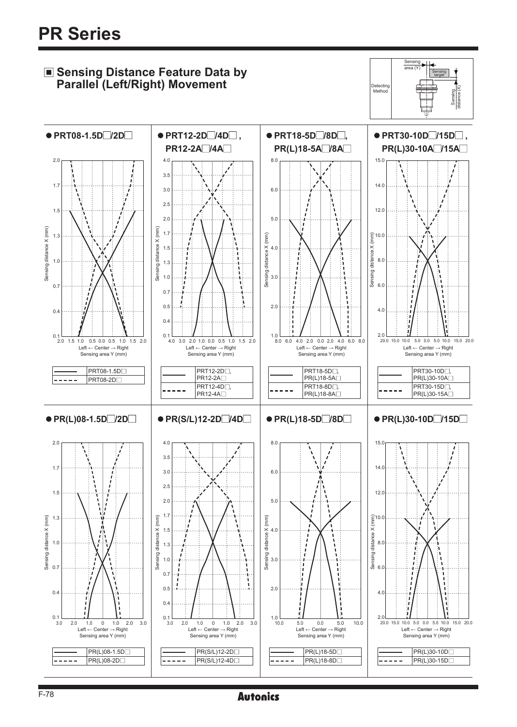